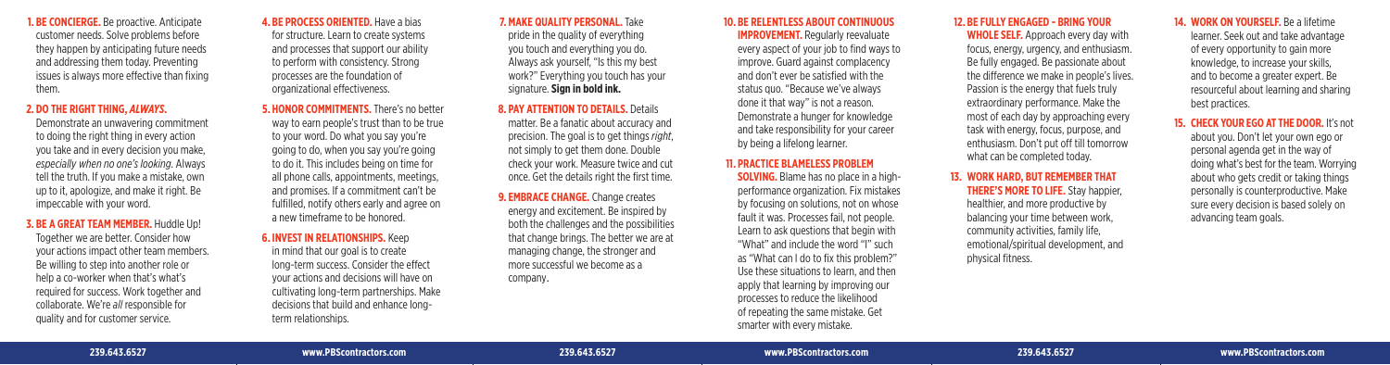**1. BE CONCIERGE.** Be proactive. Anticipate customer needs. Solve problems before they happen by anticipating future needs and addressing them today. Preventing issues is always more effective than fixing them.

#### **2. DO THE RIGHT THING,** *ALWAYS* **.**

Demonstrate an unwavering commitment to doing the right thing in every action you take and in every decision you make, *especially when no one's looking*. Always tell the truth. If you make a mistake, own up to it, apologize, and make it right. Be impeccable with your word.

## **3. BE A GREAT TEAM MEMBER.** Huddle Up!

Together we are better. Consider how your actions impact other team members. Be willing to step into another role or help a co-worker when that's what's required for success. Work together and collaborate. We're *all* responsible for quality and for customer service.

**4. BE PROCESS ORIENTED.** Have a bias for structure. Learn to create systems and processes that support our ability to perform with consistency. Strong processes are the foundation of organizational effectiveness.

## **5. HONOR COMMITMENTS.** There's no better way to earn people's trust than to be true to your word. Do what you say you're going to do, when you say you're going to do it. This includes being on time for all phone calls, appointments, meetings, and promises. If a commitment can't be fulfilled, notify others early and agree on a new timeframe to be honored.

# **6. INVEST IN RELATIONSHIPS.** Keep

in mind that our goal is to create long-term success. Consider the effect your actions and decisions will have on cultivating long-term partnerships. Make decisions that build and enhance longterm relationships.

## **7. MAKE QUALITY PERSONAL.** Take pride in the quality of everything you touch and everything you do. Always ask yourself, "Is this my best work?" Everything you touch has your signature. **Sign in bold ink.**

**8. PAY ATTENTION TO DETAILS.** Details matter. Be a fanatic about accuracy and precision. The goal is to get things *right*, not simply to get them done. Double check your work. Measure twice and cut once. Get the details right the first time.

**9. EMBRACE CHANGE.** Change creates energy and excitement. Be inspired by both the challenges and the possibilities that change brings. The better we are at managing change, the stronger and more successful we become as a company .

## **10. BE RELENTLESS ABOUT CONTINUOUS**

**IMPROVEMENT.** Regularly reevaluate every aspect of your job to find ways to improve. Guard against complacency and don't ever be satisfied with the status quo. "Because we've always done it that way" is not a reason. Demonstrate a hunger for knowledge and take responsibility for your career by being a lifelong learner.

### **11. PRACTICE BLAMELESS PROBLEM**

**SOLVING.** Blame has no place in a highperformance organization. Fix mistakes by focusing on solutions, not on whose fault it was. Processes fail, not people. Learn to ask questions that begin with "What" and include the word "I" such as "What can I do to fix this problem?" Use these situations to learn, and then apply that learning by improving our processes to reduce the likelihood of repeating the same mistake. Get smarter with every mistake.

# **12. BE FULLY ENGAGED - BRING YOUR**

**WHOLE SELF.** Approach every day with focus, energy, urgency, and enthusiasm. Be fully engaged. Be passionate about the difference we make in people's lives. Passion is the energy that fuels truly extraordinary performance. Make the most of each day by approaching every task with energy, focus, purpose, and enthusiasm. Don't put off till tomorrow what can be completed today.

## **13. WORK HARD, BUT REMEMBER THAT THERE'S MORE TO LIFE.** Stav happier. healthier, and more productive by

 balancing your time between work, community activities, family life, emotional/spiritual development, and physical fitness.

# **14. WORK ON YOURSELF.** Be a lifetime

learner. Seek out and take advantage of every opportunity to gain more knowledge, to increase your skills, and to become a greater expert. Be resourceful about learning and sharing best practices.

# 15. **CHECK YOUR EGO AT THE DOOR.** It's not

 about you. Don't let your own ego or personal agenda get in the way of doing what's best for the team. Worrying about who gets credit or taking things personally is counterproductive. Make sure every decision is based solely on advancing team goals.

#### **239.643.6527 www.PBScontractors.com 239.643.6527 www.PBScontractors.com 239.643.6527 www.PBScontractors.com**